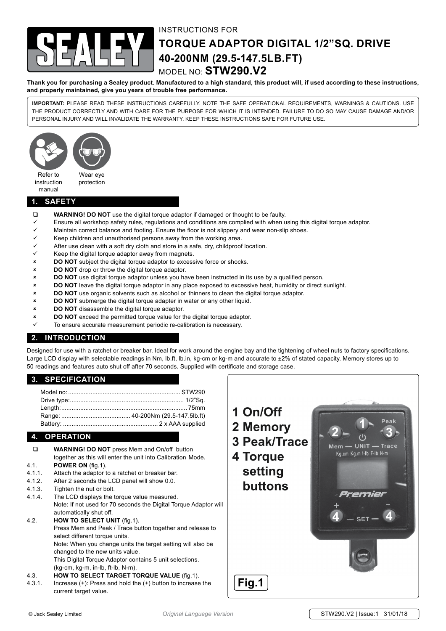

# instructions for

# **torque adaptor digital 1/2"sq. drive 40-200Nm (29.5-147.5lb.ft)** model no: **STW290.V2**

**Thank you for purchasing a Sealey product. Manufactured to a high standard, this product will, if used according to these instructions, and properly maintained, give you years of trouble free performance.**

**IMPORTANT:** PLEASE READ THESE INSTRUCTIONS CAREFULLY. NOTE THE SAFE OPERATIONAL REQUIREMENTS, WARNINGS & CAUTIONS. USE THE PRODUCT CORRECTLY AND WITH CARE FOR THE PURPOSE FOR WHICH IT IS INTENDED. FAILURE TO DO SO MAY CAUSE DAMAGE AND/OR PERSONAL INJURY AND WILL INVALIDATE THE WARRANTY. KEEP THESE INSTRUCTIONS SAFE FOR FUTURE USE.



instruction manual

# **1. safety**

- **WARNING! DO NOT** use the digital torque adaptor if damaged or thought to be faulty.
- $\checkmark$  Ensure all workshop safety rules, regulations and conditions are complied with when using this digital torque adaptor.
- $\checkmark$  Maintain correct balance and footing. Ensure the floor is not slippery and wear non-slip shoes.
- Keep children and unauthorised persons away from the working area.
- After use clean with a soft dry cloth and store in a safe, dry, childproof location.
- $\checkmark$  Keep the digital torque adaptor away from magnets.
- **8** DO NOT subject the digital torque adaptor to excessive force or shocks.
- 8 **DO NOT** drop or throw the digital torque adaptor.
- 8 **DO NOT** use digital torque adaptor unless you have been instructed in its use by a qualified person.
- 8 **DO NOT** leave the digital torque adaptor in any place exposed to excessive heat, humidity or direct sunlight.
- 8 **DO NOT** use organic solvents such as alcohol or thinners to clean the digital torque adaptor.
- 8 **DO NOT** submerge the digital torque adapter in water or any other liquid.
- 8 **DO NOT** disassemble the digital torque adaptor.
- 8 **DO NOT** exceed the permitted torque value for the digital torque adaptor.
- To ensure accurate measurement periodic re-calibration is necessary.

# **2. introduction**

Designed for use with a ratchet or breaker bar. Ideal for work around the engine bay and the tightening of wheel nuts to factory specifications. Large LCD display with selectable readings in Nm, lb.ft, lb.in, kg-cm or kg-m and accurate to ±2% of stated capacity. Memory stores up to 50 readings and features auto shut off after 70 seconds. Supplied with certificate and storage case.

### **3. specification**

# **4. operation**

- **WARNING! DO NOT** press Mem and On/off button together as this will enter the unit into Calibration Mode. 4.1. **POWER ON** (fig.1).
- 4.1.1. Attach the adaptor to a ratchet or breaker bar.
- 4.1.2. After 2 seconds the LCD panel will show 0.0.
- 4.1.3. Tighten the nut or bolt.
- 4.1.4. The LCD displays the torque value measured. Note: If not used for 70 seconds the Digital Torque Adaptor will automatically shut off.
- 4.2. **HOW TO SELECT UNIT** (fig.1).

Press Mem and Peak / Trace button together and release to select different torque units. Note: When you change units the target setting will also be

changed to the new units value.

 This Digital Torque Adaptor contains 5 unit selections. (kg-cm, kg-m, in-lb, ft-lb, N-m).

- 4.3. **HOW TO SELECT TARGET TORQUE VALUE** (fig.1).
- 4.3.1. Increase  $(+)$ : Press and hold the  $(+)$  button to increase the current target value.